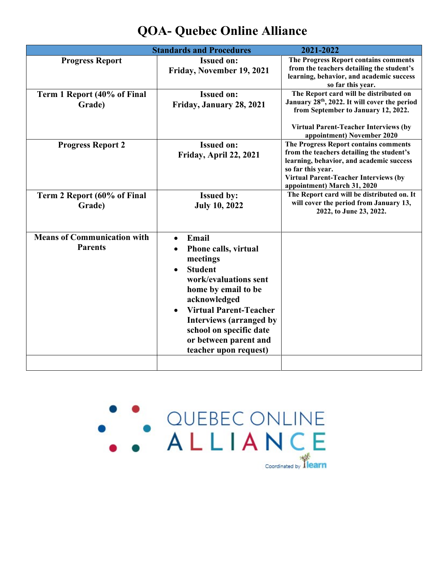| <b>Standards and Procedures</b>                                                                                                                                                                                                                                                                                    | 2021-2022                                                                                                                                                                                                                          |
|--------------------------------------------------------------------------------------------------------------------------------------------------------------------------------------------------------------------------------------------------------------------------------------------------------------------|------------------------------------------------------------------------------------------------------------------------------------------------------------------------------------------------------------------------------------|
| <b>Issued on:</b><br>Friday, November 19, 2021                                                                                                                                                                                                                                                                     | The Progress Report contains comments<br>from the teachers detailing the student's<br>learning, behavior, and academic success<br>so far this year.                                                                                |
| <b>Issued on:</b><br>Friday, January 28, 2021                                                                                                                                                                                                                                                                      | The Report card will be distributed on<br>January 28 <sup>th</sup> , 2022. It will cover the period<br>from September to January 12, 2022.<br><b>Virtual Parent-Teacher Interviews (by</b><br>appointment) November 2020           |
| <b>Issued on:</b><br>Friday, April 22, 2021                                                                                                                                                                                                                                                                        | The Progress Report contains comments<br>from the teachers detailing the student's<br>learning, behavior, and academic success<br>so far this year.<br><b>Virtual Parent-Teacher Interviews (by</b><br>appointment) March 31, 2020 |
| <b>Issued by:</b><br><b>July 10, 2022</b>                                                                                                                                                                                                                                                                          | The Report card will be distributed on. It<br>will cover the period from January 13,<br>2022, to June 23, 2022.                                                                                                                    |
| Email<br>$\bullet$<br>Phone calls, virtual<br>meetings<br><b>Student</b><br>$\bullet$<br>work/evaluations sent<br>home by email to be<br>acknowledged<br><b>Virtual Parent-Teacher</b><br>$\bullet$<br><b>Interviews (arranged by</b><br>school on specific date<br>or between parent and<br>teacher upon request) |                                                                                                                                                                                                                                    |
|                                                                                                                                                                                                                                                                                                                    |                                                                                                                                                                                                                                    |

## **QOA- Quebec Online Alliance**

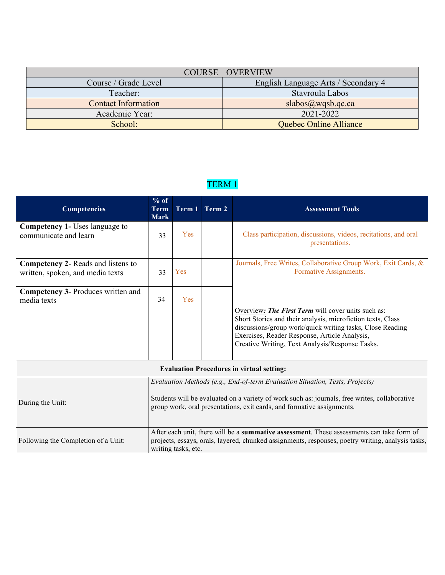|                            | COURSE OVERVIEW                     |
|----------------------------|-------------------------------------|
| Course / Grade Level       | English Language Arts / Secondary 4 |
| Teacher:                   | Stavroula Labos                     |
| <b>Contact Information</b> | $slabos(\omega)$ wqsb.qc.ca         |
| Academic Year:             | 2021-2022                           |
| School:                    | Quebec Online Alliance              |

## TERM 1

| <b>Competencies</b>                                                           | $%$ of<br>Term<br><b>Mark</b>                                                                                                                                                                                                                           |     | Term 1 Term 2 | <b>Assessment Tools</b>                                                                                                                                                                                                                                                            |  |
|-------------------------------------------------------------------------------|---------------------------------------------------------------------------------------------------------------------------------------------------------------------------------------------------------------------------------------------------------|-----|---------------|------------------------------------------------------------------------------------------------------------------------------------------------------------------------------------------------------------------------------------------------------------------------------------|--|
| <b>Competency 1-</b> Uses language to<br>communicate and learn                | 33                                                                                                                                                                                                                                                      | Yes |               | Class participation, discussions, videos, recitations, and oral<br>presentations.                                                                                                                                                                                                  |  |
| <b>Competency 2- Reads and listens to</b><br>written, spoken, and media texts | 33                                                                                                                                                                                                                                                      | Yes |               | Journals, Free Writes, Collaborative Group Work, Exit Cards, &<br>Formative Assignments.                                                                                                                                                                                           |  |
| <b>Competency 3- Produces written and</b><br>media texts                      | 34                                                                                                                                                                                                                                                      | Yes |               | Overview: The First Term will cover units such as:<br>Short Stories and their analysis, microfiction texts, Class<br>discussions/group work/quick writing tasks, Close Reading<br>Exercises, Reader Response, Article Analysis,<br>Creative Writing, Text Analysis/Response Tasks. |  |
| <b>Evaluation Procedures in virtual setting:</b>                              |                                                                                                                                                                                                                                                         |     |               |                                                                                                                                                                                                                                                                                    |  |
| During the Unit:                                                              | Evaluation Methods (e.g., End-of-term Evaluation Situation, Tests, Projects)<br>Students will be evaluated on a variety of work such as: journals, free writes, collaborative<br>group work, oral presentations, exit cards, and formative assignments. |     |               |                                                                                                                                                                                                                                                                                    |  |
| Following the Completion of a Unit:                                           | After each unit, there will be a summative assessment. These assessments can take form of<br>projects, essays, orals, layered, chunked assignments, responses, poetry writing, analysis tasks,<br>writing tasks, etc.                                   |     |               |                                                                                                                                                                                                                                                                                    |  |